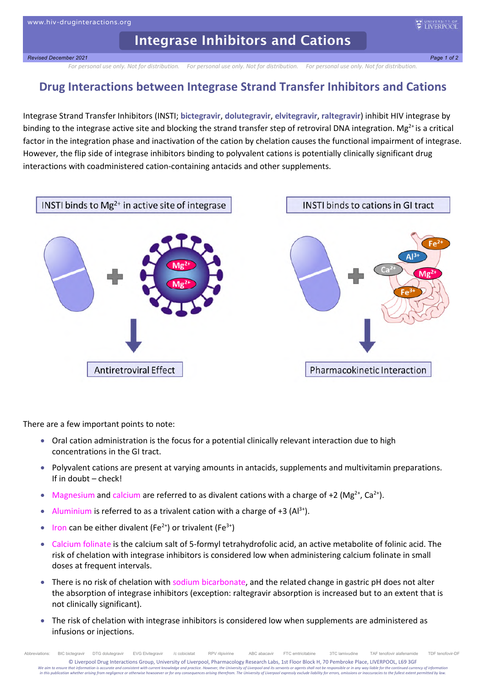## **Integrase Inhibitors and Cations**

*Revised December 2021 Page 1 of 2*

*For personal use only. Not for distribution. For personal use only. Not for distribution. For personal use only. Not for distribution.*

## **Drug Interactions between Integrase Strand Transfer Inhibitors and Cations**

Integrase Strand Transfer Inhibitors (INSTI; **bictegravir**, **dolutegravir**, **elvitegravir**, **raltegravir**) inhibit HIV integrase by binding to the integrase active site and blocking the strand transfer step of retroviral DNA integration. Mg<sup>2+</sup> is a critical factor in the integration phase and inactivation of the cation by chelation causes the functional impairment of integrase. However, the flip side of integrase inhibitors binding to polyvalent cations is potentially clinically significant drug interactions with coadministered cation-containing antacids and other supplements.



There are a few important points to note:

- Oral cation administration is the focus for a potential clinically relevant interaction due to high concentrations in the GI tract.
- Polyvalent cations are present at varying amounts in antacids, supplements and multivitamin preparations. If in doubt – check!
- Magnesium and calcium are referred to as divalent cations with a charge of +2 (Mg<sup>2+</sup>, Ca<sup>2+</sup>).
- Aluminium is referred to as a trivalent cation with a charge of +3  $(A1^{3+})$ .
- Iron can be either divalent ( $Fe^{2+}$ ) or trivalent ( $Fe^{3+}$ )
- Calcium folinate is the calcium salt of 5-formyl tetrahydrofolic acid, an active metabolite of folinic acid. The risk of chelation with integrase inhibitors is considered low when administering calcium folinate in small doses at frequent intervals.
- There is no risk of chelation with sodium bicarbonate, and the related change in gastric pH does not alter the absorption of integrase inhibitors (exception: raltegravir absorption is increased but to an extent that is not clinically significant).
- The risk of chelation with integrase inhibitors is considered low when supplements are administered as infusions or injections.